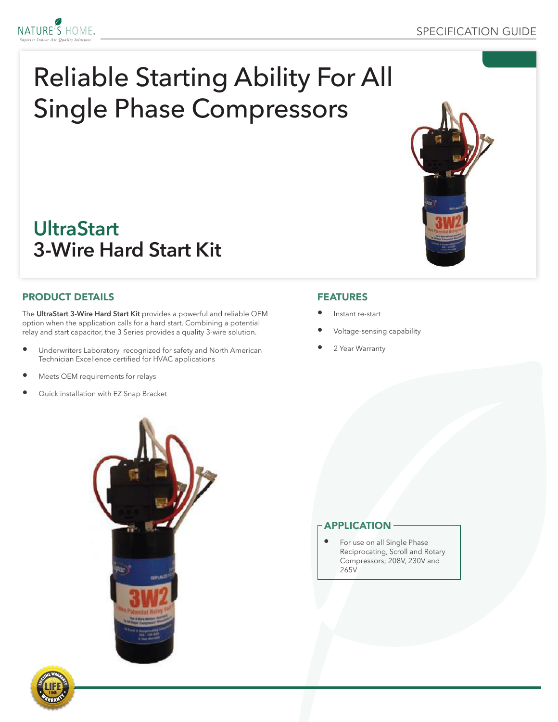

# **UltraStart 3-Wire Hard Start Kit**

### PRODUCT DETAILS

NATURE'S HOME.

The **UltraStart 3-Wire Hard Start Kit** provides a powerful and reliable OEM option when the application calls for a hard start. Combining a potential relay and start capacitor, the 3 Series provides a quality 3-wire solution.

- Underwriters Laboratory recognized for safety and North American Technician Excellence certified for HVAC applications
- Meets OEM requirements for relays
- Quick installation with EZ Snap Bracket

### FEATURES

- Instant re-start
- Voltage-sensing capability
- 2 Year Warranty



### APPLICATION

For use on all Single Phase Reciprocating, Scroll and Rotary Compressors; 208V, 230V and 265V